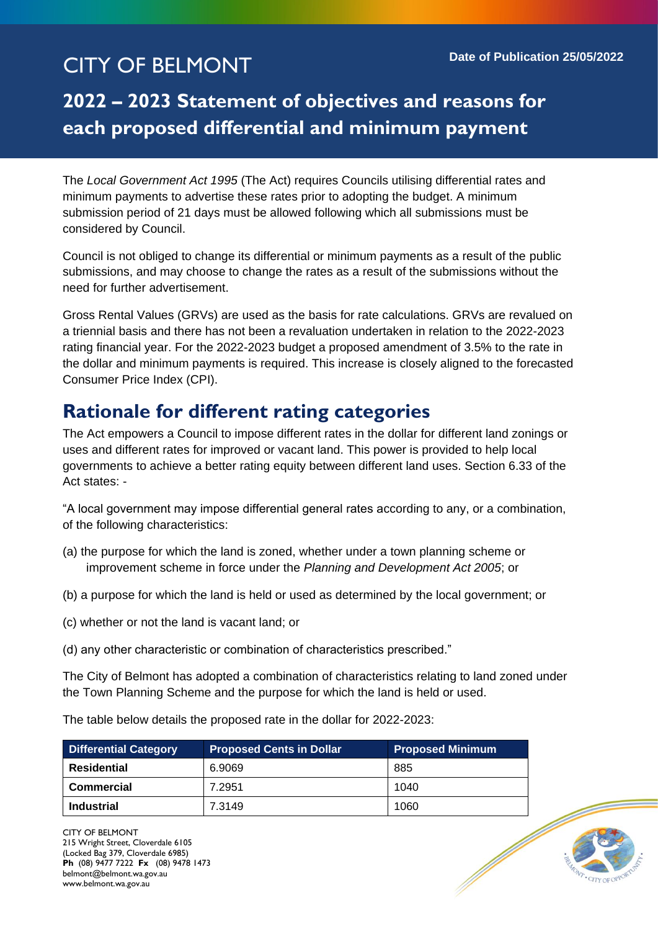# CITY OF BELMONT **Date of Publication 25/05/2022**

## **2022 – 2023 Statement of objectives and reasons for each proposed differential and minimum payment**

The *Local Government Act 1995* (The Act) requires Councils utilising differential rates and minimum payments to advertise these rates prior to adopting the budget. A minimum submission period of 21 days must be allowed following which all submissions must be considered by Council.

Council is not obliged to change its differential or minimum payments as a result of the public submissions, and may choose to change the rates as a result of the submissions without the need for further advertisement.

Gross Rental Values (GRVs) are used as the basis for rate calculations. GRVs are revalued on a triennial basis and there has not been a revaluation undertaken in relation to the 2022-2023 rating financial year. For the 2022-2023 budget a proposed amendment of 3.5% to the rate in the dollar and minimum payments is required. This increase is closely aligned to the forecasted Consumer Price Index (CPI).

## **Rationale for different rating categories**

The Act empowers a Council to impose different rates in the dollar for different land zonings or uses and different rates for improved or vacant land. This power is provided to help local governments to achieve a better rating equity between different land uses. Section 6.33 of the Act states: -

"A local government may impose differential general rates according to any, or a combination, of the following characteristics:

- (a) the purpose for which the land is zoned, whether under a town planning scheme or improvement scheme in force under the *Planning and Development Act 2005*; or
- (b) a purpose for which the land is held or used as determined by the local government; or
- (c) whether or not the land is vacant land; or
- (d) any other characteristic or combination of characteristics prescribed."

The City of Belmont has adopted a combination of characteristics relating to land zoned under the Town Planning Scheme and the purpose for which the land is held or used.

The table below details the proposed rate in the dollar for 2022-2023:

| <b>Differential Category</b> | <b>Proposed Cents in Dollar</b> | <b>Proposed Minimum</b> |
|------------------------------|---------------------------------|-------------------------|
| Residential                  | 6.9069                          | 885                     |
| <b>Commercial</b>            | 7.2951                          | 1040                    |
| Industrial                   | 7.3149                          | 1060                    |

CITY OF BELMONT 215 Wright Street, Cloverdale 6105 (Locked Bag 379, Cloverdale 6985) **Ph** (08) 9477 7222 **Fx** (08) 9478 1473 belmont@belmont.wa.gov.au www.belmont.wa.gov.au